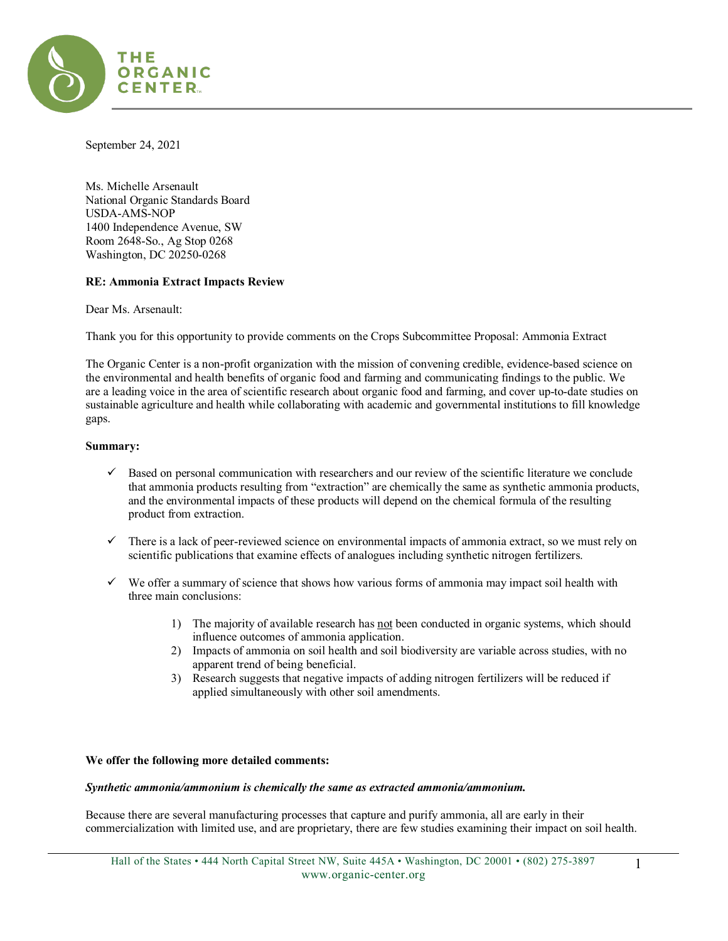

September 24, 2021

Ms. Michelle Arsenault National Organic Standards Board USDA-AMS-NOP 1400 Independence Avenue, SW Room 2648-So., Ag Stop 0268 Washington, DC 20250-0268

### **RE: Ammonia Extract Impacts Review**

Dear Ms. Arsenault:

Thank you for this opportunity to provide comments on the Crops Subcommittee Proposal: Ammonia Extract

The Organic Center is a non-profit organization with the mission of convening credible, evidence-based science on the environmental and health benefits of organic food and farming and communicating findings to the public. We are a leading voice in the area of scientific research about organic food and farming, and cover up-to-date studies on sustainable agriculture and health while collaborating with academic and governmental institutions to fill knowledge gaps.

### **Summary:**

- $\checkmark$  Based on personal communication with researchers and our review of the scientific literature we conclude that ammonia products resulting from "extraction" are chemically the same as synthetic ammonia products, and the environmental impacts of these products will depend on the chemical formula of the resulting product from extraction.
- $\checkmark$  There is a lack of peer-reviewed science on environmental impacts of ammonia extract, so we must rely on scientific publications that examine effects of analogues including synthetic nitrogen fertilizers.
- $\checkmark$  We offer a summary of science that shows how various forms of ammonia may impact soil health with three main conclusions:
	- 1) The majority of available research has not been conducted in organic systems, which should influence outcomes of ammonia application.
	- 2) Impacts of ammonia on soil health and soil biodiversity are variable across studies, with no apparent trend of being beneficial.
	- 3) Research suggests that negative impacts of adding nitrogen fertilizers will be reduced if applied simultaneously with other soil amendments.

### **We offer the following more detailed comments:**

#### *Synthetic ammonia/ammonium is chemically the same as extracted ammonia/ammonium.*

Because there are several manufacturing processes that capture and purify ammonia, all are early in their commercialization with limited use, and are proprietary, there are few studies examining their impact on soil health.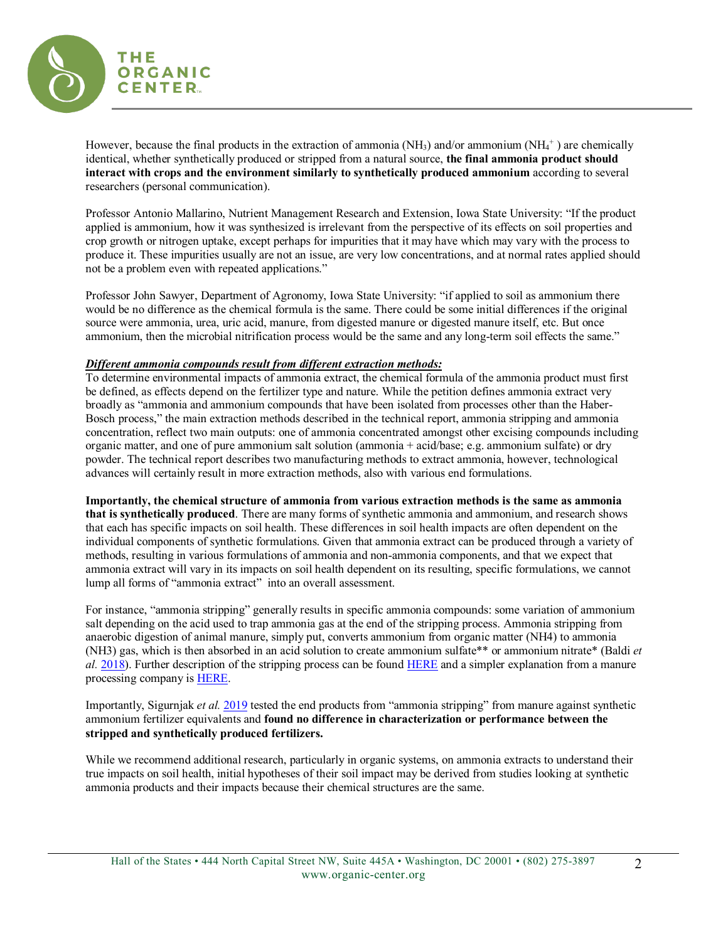

However, because the final products in the extraction of ammonia (NH<sub>3</sub>) and/or ammonium (NH<sub>4</sub><sup>+</sup>) are chemically identical, whether synthetically produced or stripped from a natural source, **the final ammonia product should interact with crops and the environment similarly to synthetically produced ammonium** according to several researchers (personal communication).

Professor Antonio Mallarino, Nutrient Management Research and Extension, Iowa State University: "If the product applied is ammonium, how it was synthesized is irrelevant from the perspective of its effects on soil properties and crop growth or nitrogen uptake, except perhaps for impurities that it may have which may vary with the process to produce it. These impurities usually are not an issue, are very low concentrations, and at normal rates applied should not be a problem even with repeated applications."

Professor John Sawyer, Department of Agronomy, Iowa State University: "if applied to soil as ammonium there would be no difference as the chemical formula is the same. There could be some initial differences if the original source were ammonia, urea, uric acid, manure, from digested manure or digested manure itself, etc. But once ammonium, then the microbial nitrification process would be the same and any long-term soil effects the same."

# *Different ammonia compounds result from different extraction methods:*

To determine environmental impacts of ammonia extract, the chemical formula of the ammonia product must first be defined, as effects depend on the fertilizer type and nature. While the petition defines ammonia extract very broadly as "ammonia and ammonium compounds that have been isolated from processes other than the Haber-Bosch process," the main extraction methods described in the technical report, ammonia stripping and ammonia concentration, reflect two main outputs: one of ammonia concentrated amongst other excising compounds including organic matter, and one of pure ammonium salt solution (ammonia + acid/base; e.g. ammonium sulfate) or dry powder. The technical report describes two manufacturing methods to extract ammonia, however, technological advances will certainly result in more extraction methods, also with various end formulations.

**Importantly, the chemical structure of ammonia from various extraction methods is the same as ammonia that is synthetically produced**. There are many forms of synthetic ammonia and ammonium, and research shows that each has specific impacts on soil health. These differences in soil health impacts are often dependent on the individual components of synthetic formulations. Given that ammonia extract can be produced through a variety of methods, resulting in various formulations of ammonia and non-ammonia components, and that we expect that ammonia extract will vary in its impacts on soil health dependent on its resulting, specific formulations, we cannot lump all forms of "ammonia extract" into an overall assessment.

For instance, "ammonia stripping" generally results in specific ammonia compounds: some variation of ammonium salt depending on the acid used to trap ammonia gas at the end of the stripping process. Ammonia stripping from anaerobic digestion of animal manure, simply put, converts ammonium from organic matter (NH4) to ammonia (NH3) gas, which is then absorbed in an acid solution to create ammonium sulfate\*\* or ammonium nitrate\* (Baldi *et al.* [2018\)](https://www.mdpi.com/2071-1050/10/9/3073/pdf). Further description of the stripping process can be found [HERE](https://link.springer.com/article/10.1007/s40095-018-0283-7) and a simpler explanation from a manure processing company i[s HERE.](https://www.vcm-mestverwerking.be/en/manureprocessing/11321/ammonia-stripping-scrubbing#:%7E:text=The%20stripping%20gas%2C%20which%20is,ammonium%20sulphate%20solution%20is%20formed.)

Importantly, Sigurnjak *et al.* [2019](https://www.sciencedirect.com/science/article/pii/S0956053X19301758) tested the end products from "ammonia stripping" from manure against synthetic ammonium fertilizer equivalents and **found no difference in characterization or performance between the stripped and synthetically produced fertilizers.**

While we recommend additional research, particularly in organic systems, on ammonia extracts to understand their true impacts on soil health, initial hypotheses of their soil impact may be derived from studies looking at synthetic ammonia products and their impacts because their chemical structures are the same.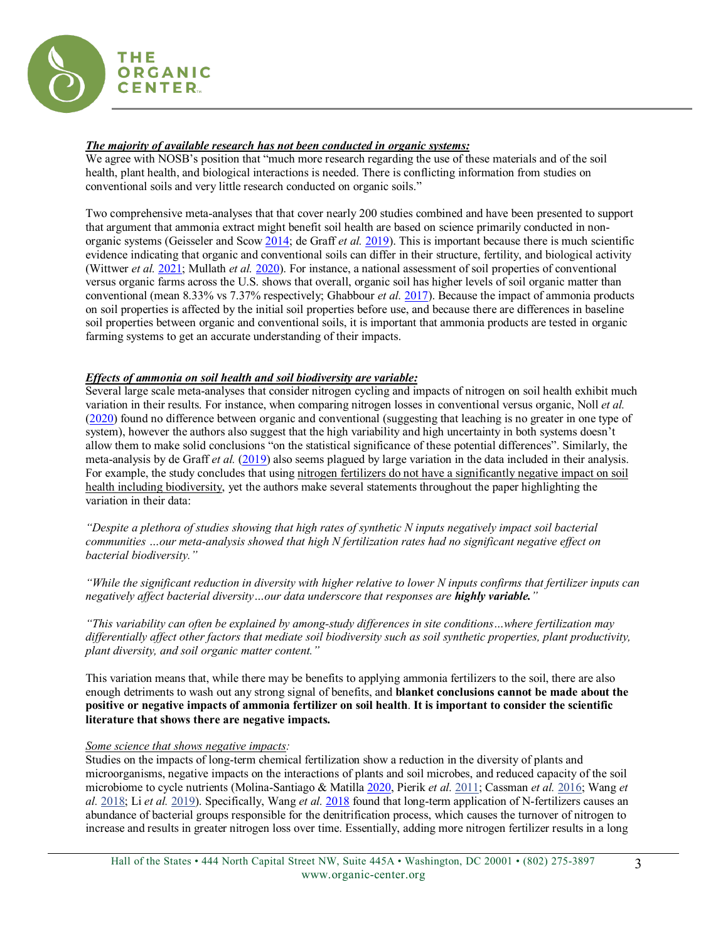

## *The majority of available research has not been conducted in organic systems:*

We agree with NOSB's position that "much more research regarding the use of these materials and of the soil health, plant health, and biological interactions is needed. There is conflicting information from studies on conventional soils and very little research conducted on organic soils."

Two comprehensive meta-analyses that that cover nearly 200 studies combined and have been presented to support that argument that ammonia extract might benefit soil health are based on science primarily conducted in nonorganic systems (Geisseler and Scow [2014;](http://www-sf.ucdavis.edu/files/275520.pdf) de Graff *et al.* [2019\)](https://www.sciencedirect.com/science/article/abs/pii/S0065211319300136). This is important because there is much scientific evidence indicating that organic and conventional soils can differ in their structure, fertility, and biological activity (Wittwer *et al.* [2021;](https://www.science.org/doi/10.1126/sciadv.abg6995) Mullath *et al.* [2020\)](https://www.researchgate.net/publication/339715715_Organic_farming_practices_in_a_desert_habitat_increased_the_abundance_richness_and_diversity_of_arbuscular_mycorrhizal_fungi). For instance, a national assessment of soil properties of conventional versus organic farms across the U.S. shows that overall, organic soil has higher levels of soil organic matter than conventional (mean 8.33% vs 7.37% respectively; Ghabbour *et al.* [2017\)](https://www.sciencedirect.com/science/article/abs/pii/S0065211317300676?via%3Dihub). Because the impact of ammonia products on soil properties is affected by the initial soil properties before use, and because there are differences in baseline soil properties between organic and conventional soils, it is important that ammonia products are tested in organic farming systems to get an accurate understanding of their impacts.

# *Effects of ammonia on soil health and soil biodiversity are variable:*

Several large scale meta-analyses that consider nitrogen cycling and impacts of nitrogen on soil health exhibit much variation in their results. For instance, when comparing nitrogen losses in conventional versus organic, Noll *et al.* [\(2020\)](https://iopscience.iop.org/article/10.1088/1748-9326/ab7029/meta) found no difference between organic and conventional (suggesting that leaching is no greater in one type of system), however the authors also suggest that the high variability and high uncertainty in both systems doesn't allow them to make solid conclusions "on the statistical significance of these potential differences". Similarly, the meta-analysis by de Graff *et al.* [\(2019\)](https://www.sciencedirect.com/science/article/abs/pii/S0065211319300136) also seems plagued by large variation in the data included in their analysis. For example, the study concludes that using nitrogen fertilizers do not have a significantly negative impact on soil health including biodiversity, yet the authors make several statements throughout the paper highlighting the variation in their data:

*"Despite a plethora of studies showing that high rates of synthetic N inputs negatively impact soil bacterial communities …our meta-analysis showed that high N fertilization rates had no significant negative effect on bacterial biodiversity."*

*"While the significant reduction in diversity with higher relative to lower N inputs confirms that fertilizer inputs can negatively affect bacterial diversity…our data underscore that responses are highly variable."*

*"This variability can often be explained by among-study differences in site conditions…where fertilization may differentially affect other factors that mediate soil biodiversity such as soil synthetic properties, plant productivity, plant diversity, and soil organic matter content."*

This variation means that, while there may be benefits to applying ammonia fertilizers to the soil, there are also enough detriments to wash out any strong signal of benefits, and **blanket conclusions cannot be made about the positive or negative impacts of ammonia fertilizer on soil health**. **It is important to consider the scientific literature that shows there are negative impacts.**

### *Some science that shows negative impacts:*

Studies on the impacts of long-term chemical fertilization show a reduction in the diversity of plants and microorganisms, negative impacts on the interactions of plants and soil microbes, and reduced capacity of the soil microbiome to cycle nutrients (Molina-Santiago & Matilla [2020,](https://www.ncbi.nlm.nih.gov/pmc/articles/PMC7415358/) Pierik *et al.* [2011;](https://esajournals.onlinelibrary.wiley.com/doi/full/10.1890/10-0210.1) Cassman *et al.* [2016;](https://www.nature.com/articles/srep23680) Wang *et al.* [2018;](https://www.frontiersin.org/articles/10.3389/fmicb.2018.02424/full) Li *et al.* [2019\)](https://sfamjournals.onlinelibrary.wiley.com/doi/abs/10.1111/1462-2920.14824). Specifically, Wang *et al.* [2018](https://www.frontiersin.org/articles/10.3389/fmicb.2018.02424/full) found that long-term application of N-fertilizers causes an abundance of bacterial groups responsible for the denitrification process, which causes the turnover of nitrogen to increase and results in greater nitrogen loss over time. Essentially, adding more nitrogen fertilizer results in a long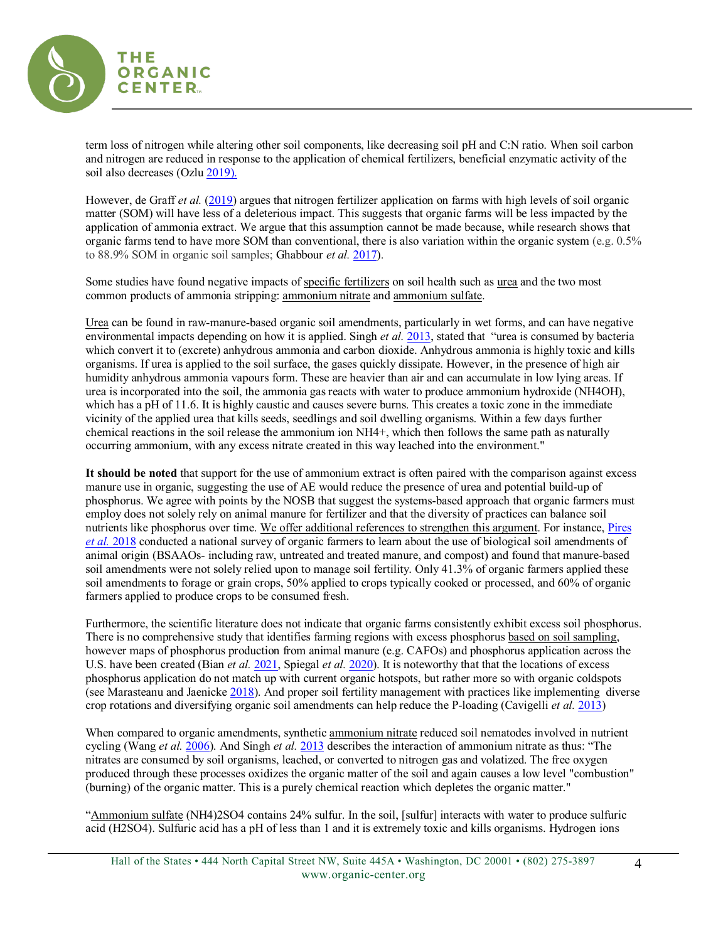

term loss of nitrogen while altering other soil components, like decreasing soil pH and C:N ratio. When soil carbon and nitrogen are reduced in response to the application of chemical fertilizers, beneficial enzymatic activity of the soil also decreases (Ozl[u 2019\)](https://www.nature.com/articles/s41598-019-48207-z#Sec7).

However, de Graff *et al.* [\(2019\)](https://www.sciencedirect.com/science/article/abs/pii/S0065211319300136) argues that nitrogen fertilizer application on farms with high levels of soil organic matter (SOM) will have less of a deleterious impact. This suggests that organic farms will be less impacted by the application of ammonia extract. We argue that this assumption cannot be made because, while research shows that organic farms tend to have more SOM than conventional, there is also variation within the organic system (e.g. 0.5% to 88.9% SOM in organic soil samples; Ghabbour *et al.* [2017\)](https://www.sciencedirect.com/science/article/abs/pii/S0065211317300676?via%3Dihub).

Some studies have found negative impacts of specific fertilizers on soil health such as urea and the two most common products of ammonia stripping: ammonium nitrate and ammonium sulfate.

Urea can be found in raw-manure-based organic soil amendments, particularly in wet forms, and can have negative environmental impacts depending on how it is applied. Singh *et al.* [2013,](https://gvpress.com/journals/IJBSBT/vol5_no1/4.pdf) stated that "urea is consumed by bacteria which convert it to (excrete) anhydrous ammonia and carbon dioxide. Anhydrous ammonia is highly toxic and kills organisms. If urea is applied to the soil surface, the gases quickly dissipate. However, in the presence of high air humidity anhydrous ammonia vapours form. These are heavier than air and can accumulate in low lying areas. If urea is incorporated into the soil, the ammonia gas reacts with water to produce ammonium hydroxide (NH4OH), which has a pH of 11.6. It is highly caustic and causes severe burns. This creates a toxic zone in the immediate vicinity of the applied urea that kills seeds, seedlings and soil dwelling organisms. Within a few days further chemical reactions in the soil release the ammonium ion NH4+, which then follows the same path as naturally occurring ammonium, with any excess nitrate created in this way leached into the environment."

**It should be noted** that support for the use of ammonium extract is often paired with the comparison against excess manure use in organic, suggesting the use of AE would reduce the presence of urea and potential build-up of phosphorus. We agree with points by the NOSB that suggest the systems-based approach that organic farmers must employ does not solely rely on animal manure for fertilizer and that the diversity of practices can balance soil nutrients like phosphorus over time. We offer additional references to strengthen this argument. For instance, Pires *[et al.](https://www.foodprotection.org/files/food-protection-trends/sep-oct-18-pires.pdf)* 2018 conducted a national survey of organic farmers to learn about the use of biological soil amendments of animal origin (BSAAOs- including raw, untreated and treated manure, and compost) and found that manure-based soil amendments were not solely relied upon to manage soil fertility. Only 41.3% of organic farmers applied these soil amendments to forage or grain crops, 50% applied to crops typically cooked or processed, and 60% of organic farmers applied to produce crops to be consumed fresh.

Furthermore, the scientific literature does not indicate that organic farms consistently exhibit excess soil phosphorus. There is no comprehensive study that identifies farming regions with excess phosphorus based on soil sampling, however maps of phosphorus production from animal manure (e.g. CAFOs) and phosphorus application across the U.S. have been created (Bian *et al.* [2021,](https://essd.copernicus.org/articles/13/515/2021/) Spiegal *et al.* [2020\)](https://www.sciencedirect.com/science/article/pii/S0308521X19311679). It is noteworthy that that the locations of excess phosphorus application do not match up with current organic hotspots, but rather more so with organic coldspots (see Marasteanu and Jaenick[e 2018\)](https://www.researchgate.net/profile/Edward-Jaenicke/publication/323151836_Economic_impact_of_organic_agriculture_hotspots_in_the_United_States/links/5aabc63fa6fdcc48f2b131f7/Economic-impact-of-organic-agriculture-hotspots-in-the-United-States.pdf). And proper soil fertility management with practices like implementing diverse crop rotations and diversifying organic soil amendments can help reduce the P-loading (Cavigelli *et al.* [2013\)](https://pubag.nal.usda.gov/download/56522/PDF)

When compared to organic amendments, synthetic ammonium nitrate reduced soil nematodes involved in nutrient cycling (Wang *et al.* [2006\)](https://www.sciencedirect.com/science/article/abs/pii/S0929139305001290). And Singh *et al.* [2013](https://gvpress.com/journals/IJBSBT/vol5_no1/4.pdf) describes the interaction of ammonium nitrate as thus: "The nitrates are consumed by soil organisms, leached, or converted to nitrogen gas and volatized. The free oxygen produced through these processes oxidizes the organic matter of the soil and again causes a low level "combustion" (burning) of the organic matter. This is a purely chemical reaction which depletes the organic matter."

"Ammonium sulfate (NH4)2SO4 contains 24% sulfur. In the soil, [sulfur] interacts with water to produce sulfuric acid (H2SO4). Sulfuric acid has a pH of less than 1 and it is extremely toxic and kills organisms. Hydrogen ions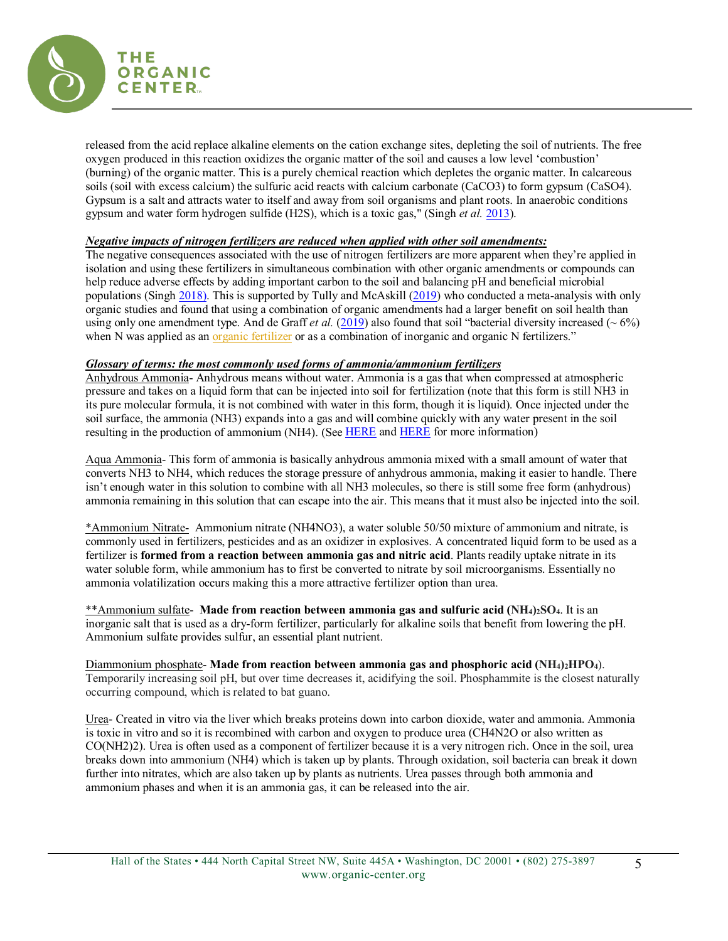

released from the acid replace alkaline elements on the cation exchange sites, depleting the soil of nutrients. The free oxygen produced in this reaction oxidizes the organic matter of the soil and causes a low level 'combustion' (burning) of the organic matter. This is a purely chemical reaction which depletes the organic matter. In calcareous soils (soil with excess calcium) the sulfuric acid reacts with calcium carbonate (CaCO3) to form gypsum (CaSO4). Gypsum is a salt and attracts water to itself and away from soil organisms and plant roots. In anaerobic conditions gypsum and water form hydrogen sulfide (H2S), which is a toxic gas," (Singh *et al.* [2013\)](https://gvpress.com/journals/IJBSBT/vol5_no1/4.pdf).

### *Negative impacts of nitrogen fertilizers are reduced when applied with other soil amendments:*

The negative consequences associated with the use of nitrogen fertilizers are more apparent when they're applied in isolation and using these fertilizers in simultaneous combination with other organic amendments or compounds can help reduce adverse effects by adding important carbon to the soil and balancing pH and beneficial microbial populations (Singh [2018\)](https://www.mdpi.com/2073-4395/8/4/48). This is supported by Tully and McAskill [\(2019\)](https://link.springer.com/article/10.1007/s13165-019-00275-1) who conducted a meta-analysis with only organic studies and found that using a combination of organic amendments had a larger benefit on soil health than using only one amendment type. And de Graff *et al.* [\(2019\)](https://www.sciencedirect.com/science/article/abs/pii/S0065211319300136) also found that soil "bacterial diversity increased ( $\sim 6\%$ ) when N was applied as an [organic fertilizer](https://www.sciencedirect.com/topics/agricultural-and-biological-sciences/organic-fertilizer) or as a combination of inorganic and organic N fertilizers."

### *Glossary of terms: the most commonly used forms of ammonia/ammonium fertilizers*

Anhydrous Ammonia- Anhydrous means without water. Ammonia is a gas that when compressed at atmospheric pressure and takes on a liquid form that can be injected into soil for fertilization (note that this form is still NH3 in its pure molecular formula, it is not combined with water in this form, though it is liquid). Once injected under the soil surface, the ammonia (NH3) expands into a gas and will combine quickly with any water present in the soil resulting in the production of ammonium (NH4). (Se[e HERE](https://www.extension.purdue.edu/extmedia/ay/ay-204.html#:%7E:text=Ammonia%20(NH3)%20and%20Ammonium%20(NH4)%20Forms&text=When%20anhydrous%20is%20applied%2C%20the,injected%20under%20the%20soil%20surface.) and [HERE](https://nasdonline.org/1085/d000875/using-agricultural-anhydrous-ammonia-safely.html) for more information)

Aqua Ammonia- This form of ammonia is basically anhydrous ammonia mixed with a small amount of water that converts NH3 to NH4, which reduces the storage pressure of anhydrous ammonia, making it easier to handle. There isn't enough water in this solution to combine with all NH3 molecules, so there is still some free form (anhydrous) ammonia remaining in this solution that can escape into the air. This means that it must also be injected into the soil.

\*Ammonium Nitrate- Ammonium nitrate (NH4NO3), a water soluble 50/50 mixture of ammonium and nitrate, is commonly used in fertilizers, pesticides and as an oxidizer in explosives. A concentrated liquid form to be used as a fertilizer is **formed from a reaction between ammonia gas and nitric acid**. Plants readily uptake nitrate in its water soluble form, while ammonium has to first be converted to nitrate by soil microorganisms. Essentially no ammonia volatilization occurs making this a more attractive fertilizer option than urea.

\*\*Ammonium sulfate- **Made from reaction between ammonia gas and sulfuric acid (NH4)2SO4**. It is an inorganic salt that is used as a dry-form fertilizer, particularly for alkaline soils that benefit from lowering the pH. Ammonium sulfate provides sulfur, an essential plant nutrient.

Diammonium phosphate- **Made from reaction between ammonia gas and phosphoric acid (NH4)2HPO4**). Temporarily increasing soil pH, but over time decreases it, acidifying the soil. Phosphammite is the closest naturally occurring compound, which is related to bat guano.

Urea- Created in vitro via the liver which breaks proteins down into carbon dioxide, water and ammonia. Ammonia is toxic in vitro and so it is recombined with carbon and oxygen to produce urea (CH4N2O or also written as CO(NH2)2). Urea is often used as a component of fertilizer because it is a very nitrogen rich. Once in the soil, urea breaks down into ammonium (NH4) which is taken up by plants. Through oxidation, soil bacteria can break it down further into nitrates, which are also taken up by plants as nutrients. Urea passes through both ammonia and ammonium phases and when it is an ammonia gas, it can be released into the air.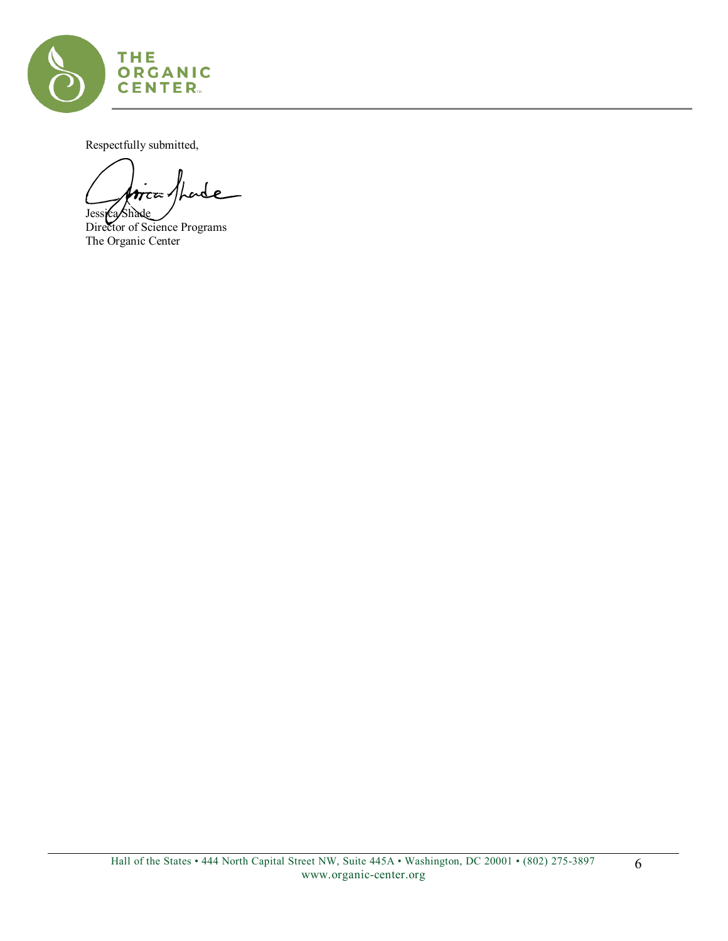

Respectfully submitted,

₽ z= 1 Jessi**ca/Shade** 

Director of Science Programs The Organic Center

6